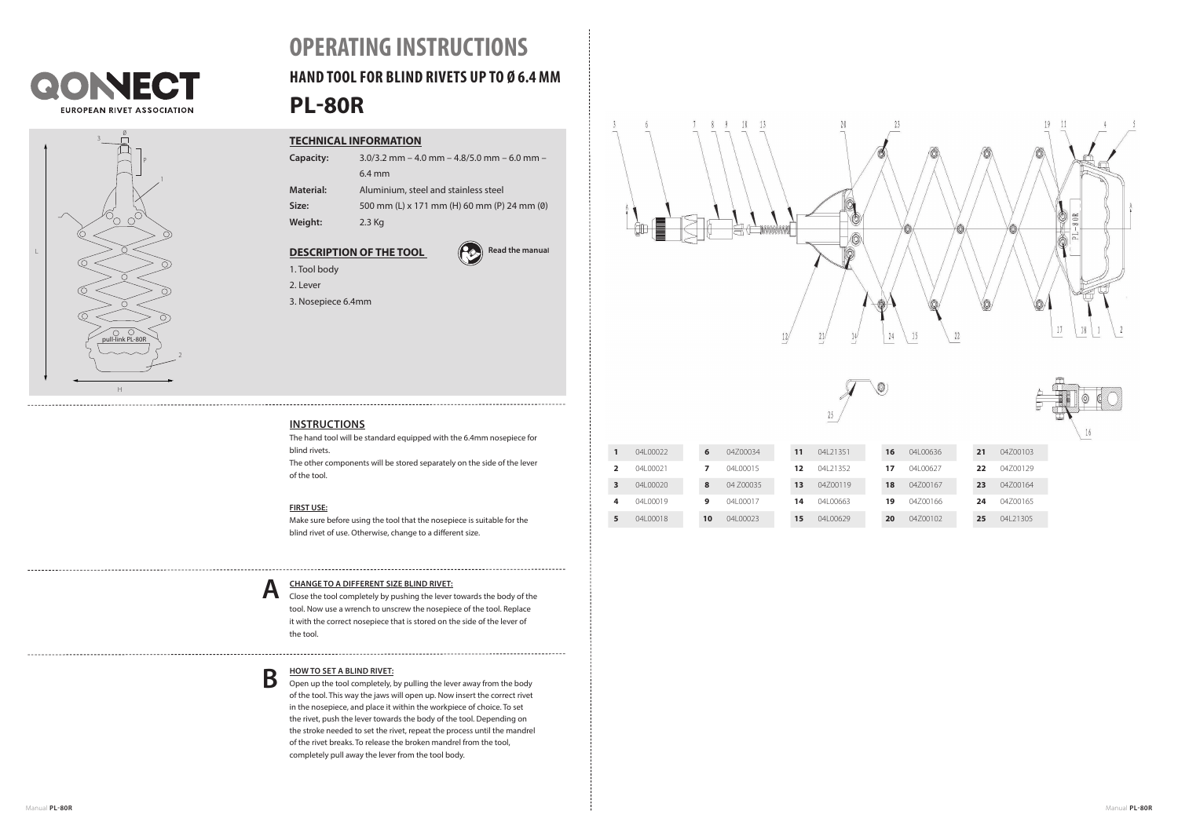



# **PL-80R OPERATING INSTRUCTIONS HAND TOOL FOR BLIND RIVETS UP TO Ø 6.4 MM**

## **TECHNICAL INFORMATION**

| Capacity:        | $3.0/3.2$ mm $- 4.0$ mm $- 4.8/5.0$ mm $- 6.0$ mm $-$ |  |  |  |  |
|------------------|-------------------------------------------------------|--|--|--|--|
|                  | $6.4 \text{ mm}$                                      |  |  |  |  |
| <b>Material:</b> | Aluminium, steel and stainless steel                  |  |  |  |  |
| Size:            | 500 mm (L) x 171 mm (H) 60 mm (P) 24 mm (0)           |  |  |  |  |

**Weight:** 2.3 Kg

## **DESCRIPTION OF THE TOOL**



1. Tool body 2. Lever

3. Nosepiece 6.4mm



## **INSTRUCTIONS**

The hand tool will be standard equipped with the 6.4mm nosepiece for blind rivets. The other components will be stored separately on the side of the lever of the tool.

### **FIRST USE:**

Make sure before using the tool that the nosepiece is suitable for the blind rivet of use. Otherwise, change to a different size.

## **CHANGE TO A DIFFERENT SIZE BLIND RIVET: A**

Close the tool completely by pushing the lever towards the body of the tool. Now use a wrench to unscrew the nosepiece of the tool. Replace it with the correct nosepiece that is stored on the side of the lever of the tool.

#### **HOW TO SET A BLIND RIVET: B**

Open up the tool completely, by pulling the lever away from the body of the tool. This way the jaws will open up. Now insert the correct rivet in the nosepiece, and place it within the workpiece of choice. To set the rivet, push the lever towards the body of the tool. Depending on the stroke needed to set the rivet, repeat the process until the mandrel of the rivet breaks. To release the broken mandrel from the tool, completely pull away the lever from the tool body.





| 1              | 041 00022 | 6  | 04700034  | 11 | 04 21351  | 16 | 041 00636 | 21 | 04700103  |
|----------------|-----------|----|-----------|----|-----------|----|-----------|----|-----------|
| $\overline{2}$ | 041 00021 |    | 041 00015 | 12 | 04 21352  | 17 | 041 00627 | 22 | 04700129  |
| 3              | 041 00020 | 8  | 04 700035 | 13 | 04700119  | 18 | 04700167  | 23 | 04700164  |
| 4              | 04100019  | q  | 04100017  | 14 | 041 00663 | 19 | 04700166  | 24 | 04700165  |
| 5              | 04100018  | 10 | 041 00023 | 15 | 041 00629 | 20 | 04700102  | 25 | 04 213 05 |